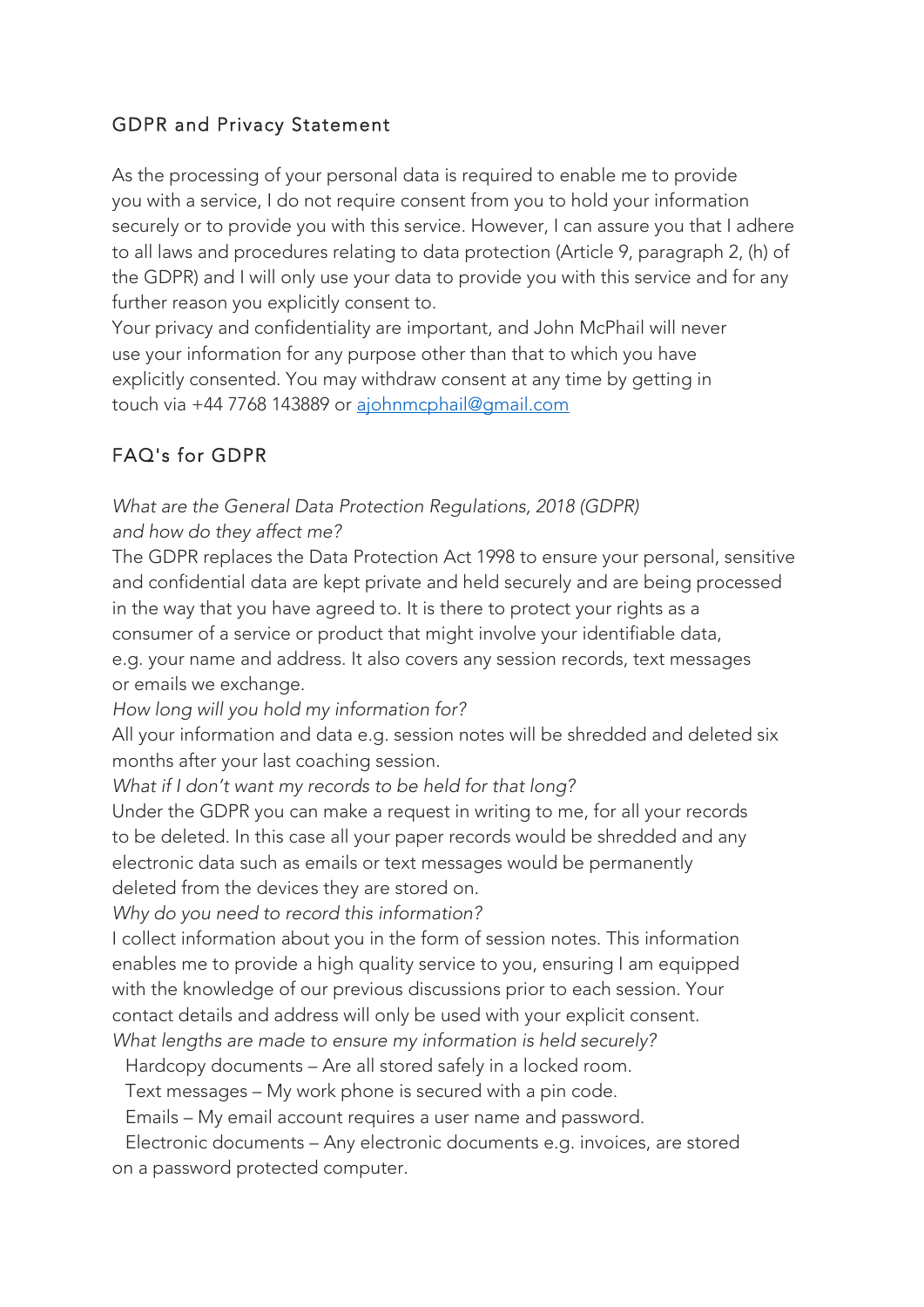### GDPR and Privacy Statement

As the processing of your personal data is required to enable me to provide you with a service, I do not require consent from you to hold your information securely or to provide you with this service. However, I can assure you that I adhere to all laws and procedures relating to data protection (Article 9, paragraph 2, (h) of the GDPR) and I will only use your data to provide you with this service and for any further reason you explicitly consent to.

Your privacy and confidentiality are important, and John McPhail will never use your information for any purpose other than that to which you have explicitly consented. You may withdraw consent at any time by getting in touch via +44 7768 143889 or ajohnmcphail@gmail.com

## FAQ's for GDPR

### *What are the General Data Protection Regulations, 2018 (GDPR) and how do they affect me?*

The GDPR replaces the Data Protection Act 1998 to ensure your personal, sensitive and confidential data are kept private and held securely and are being processed in the way that you have agreed to. It is there to protect your rights as a consumer of a service or product that might involve your identifiable data, e.g. your name and address. It also covers any session records, text messages or emails we exchange.

*How long will you hold my information for?*

All your information and data e.g. session notes will be shredded and deleted six months after your last coaching session.

*What if I don't want my records to be held for that long?*

Under the GDPR you can make a request in writing to me, for all your records to be deleted. In this case all your paper records would be shredded and any electronic data such as emails or text messages would be permanently deleted from the devices they are stored on.

*Why do you need to record this information?*

I collect information about you in the form of session notes. This information enables me to provide a high quality service to you, ensuring I am equipped with the knowledge of our previous discussions prior to each session. Your contact details and address will only be used with your explicit consent. *What lengths are made to ensure my information is held securely?*

Hardcopy documents – Are all stored safely in a locked room.

Text messages – My work phone is secured with a pin code.

Emails – My email account requires a user name and password.

 Electronic documents – Any electronic documents e.g. invoices, are stored on a password protected computer.